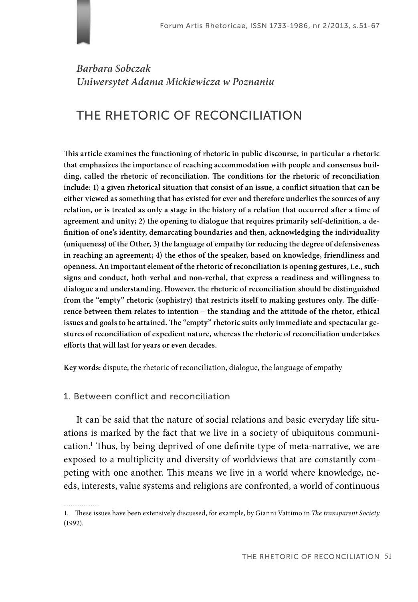# *Barbara Sobczak Uniwersytet Adama Mickiewicza w Poznaniu*

# THE RHETORIC OF RECONCILIATION

This article examines the functioning of rhetoric in public discourse, in particular a rhetoric **that emphasizes the importance of reaching accommodation with people and consensus buil**ding, called the rhetoric of reconciliation. The conditions for the rhetoric of reconciliation include: 1) a given rhetorical situation that consist of an issue, a conflict situation that can be **either viewed as something that has existed for ever and therefore underlies the sources of any**  relation, or is treated as only a stage in the history of a relation that occurred after a time of agreement and unity; 2) the opening to dialogue that requires primarily self-definition, a definition of one's identity, demarcating boundaries and then, acknowledging the individuality **(uniqueness) of the Other, 3) the language of empathy for reducing the degree of defensiveness in reaching an agreement; 4) the ethos of the speaker, based on knowledge, friendliness and openness. An important element of the rhetoric of reconciliation is opening gestures, i.e., such signs and conduct, both verbal and non-verbal, that express a readiness and willingness to dialogue and understanding. However, the rhetoric of reconciliation should be distinguished**  from the "empty" rhetoric (sophistry) that restricts itself to making gestures only. The diffe**rence between them relates to intention – the standing and the attitude of the rhetor, ethical**  issues and goals to be attained. The "empty" rhetoric suits only immediate and spectacular ge**stures of reconciliation of expedient nature, whereas the rhetoric of reconciliation undertakes**  efforts that will last for years or even decades.

**Key words:** dispute, the rhetoric of reconciliation, dialogue, the language of empathy

## 1. Between conflict and reconciliation

It can be said that the nature of social relations and basic everyday life situations is marked by the fact that we live in a society of ubiquitous communication.<sup>1</sup> Thus, by being deprived of one definite type of meta-narrative, we are exposed to a multiplicity and diversity of worldviews that are constantly competing with one another. This means we live in a world where knowledge, needs, interests, value systems and religions are confronted, a world of continuous

<sup>1.</sup> These issues have been extensively discussed, for example, by Gianni Vattimo in *The transparent Society* (1992).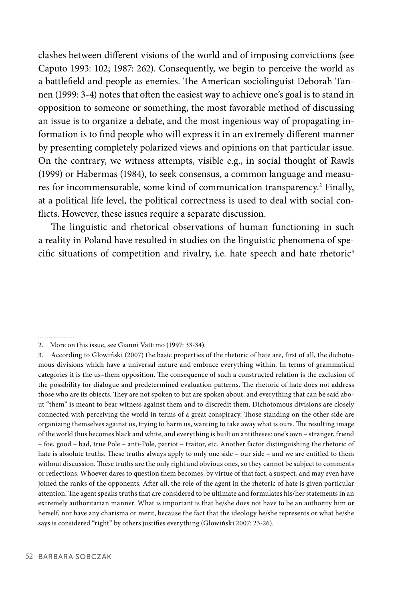clashes between different visions of the world and of imposing convictions (see Caputo 1993: 102; 1987: 262). Consequently, we begin to perceive the world as a battlefield and people as enemies. The American sociolinguist Deborah Tannen (1999: 3-4) notes that often the easiest way to achieve one's goal is to stand in opposition to someone or something, the most favorable method of discussing an issue is to organize a debate, and the most ingenious way of propagating information is to find people who will express it in an extremely different manner by presenting completely polarized views and opinions on that particular issue. On the contrary, we witness attempts, visible e.g., in social thought of Rawls (1999) or Habermas (1984), to seek consensus, a common language and measures for incommensurable, some kind of communication transparency.<sup>2</sup> Finally, at a political life level, the political correctness is used to deal with social conflicts. However, these issues require a separate discussion.

The linguistic and rhetorical observations of human functioning in such a reality in Poland have resulted in studies on the linguistic phenomena of specific situations of competition and rivalry, i.e. hate speech and hate rhetoric<sup>3</sup>

2. More on this issue, see Gianni Vattimo (1997: 33-34).

<sup>3.</sup> According to Głowiński (2007) the basic properties of the rhetoric of hate are, first of all, the dichotomous divisions which have a universal nature and embrace everything within. In terms of grammatical categories it is the us-them opposition. The consequence of such a constructed relation is the exclusion of the possibility for dialogue and predetermined evaluation patterns. The rhetoric of hate does not address those who are its objects. They are not spoken to but are spoken about, and everything that can be said about "them" is meant to bear witness against them and to discredit them. Dichotomous divisions are closely connected with perceiving the world in terms of a great conspiracy. Those standing on the other side are organizing themselves against us, trying to harm us, wanting to take away what is ours. The resulting image of the world thus becomes black and white, and everything is built on antitheses: one's own – stranger, friend – foe, good – bad, true Pole – anti-Pole, patriot – traitor, etc. Another factor distinguishing the rhetoric of hate is absolute truths. These truths always apply to only one side – our side – and we are entitled to them without discussion. These truths are the only right and obvious ones, so they cannot be subject to comments or refl ections. Whoever dares to question them becomes, by virtue of that fact, a suspect, and may even have joined the ranks of the opponents. After all, the role of the agent in the rhetoric of hate is given particular attention. The agent speaks truths that are considered to be ultimate and formulates his/her statements in an extremely authoritarian manner. What is important is that he/she does not have to be an authority him or herself, nor have any charisma or merit, because the fact that the ideology he/she represents or what he/she says is considered "right" by others justifies everything (Głowiński 2007: 23-26).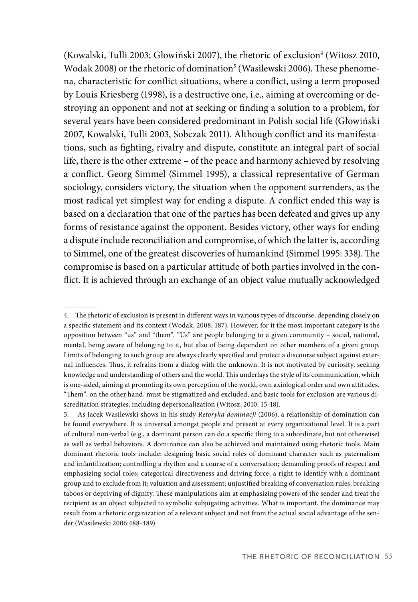(Kowalski, Tulli 2003; Głowiński 2007), the rhetoric of exclusion<sup>4</sup> (Witosz 2010, Wodak 2008) or the rhetoric of domination<sup>5</sup> (Wasilewski 2006). These phenomena, characteristic for conflict situations, where a conflict, using a term proposed by Louis Kriesberg (1998), is a destructive one, i.e., aiming at overcoming or destroying an opponent and not at seeking or finding a solution to a problem, for several years have been considered predominant in Polish social life (Głowiński 2007, Kowalski, Tulli 2003, Sobczak 2011). Although conflict and its manifestations, such as fighting, rivalry and dispute, constitute an integral part of social life, there is the other extreme – of the peace and harmony achieved by resolving a conflict. Georg Simmel (Simmel 1995), a classical representative of German sociology, considers victory, the situation when the opponent surrenders, as the most radical yet simplest way for ending a dispute. A conflict ended this way is based on a declaration that one of the parties has been defeated and gives up any forms of resistance against the opponent. Besides victory, other ways for ending a dispute include reconciliation and compromise, of which the latter is, according to Simmel, one of the greatest discoveries of humankind (Simmel 1995: 338). The compromise is based on a particular attitude of both parties involved in the conflict. It is achieved through an exchange of an object value mutually acknowledged

4. The rhetoric of exclusion is present in different ways in various types of discourse, depending closely on a specific statement and its context (Wodak, 2008: 187). However, for it the most important category is the opposition between "us" and "them". "Us" are people belonging to a given community – social, national, mental, being aware of belonging to it, but also of being dependent on other members of a given group. Limits of belonging to such group are always clearly specified and protect a discourse subject against external influences. Thus, it refrains from a dialog with the unknown. It is not motivated by curiosity, seeking knowledge and understanding of others and the world. This underlays the style of its communication, which is one-sided, aiming at promoting its own perception of the world, own axiological order and own attitudes. "Them", on the other hand, must be stigmatized and excluded, and basic tools for exclusion are various discreditation strategies, including depersonalization (Witosz, 2010: 15-18).

5. As Jacek Wasilewski shows in his study *Retoryka dominacji* (2006), a relationship of domination can be found everywhere. It is universal amongst people and present at every organizational level. It is a part of cultural non-verbal (e.g., a dominant person can do a specific thing to a subordinate, but not otherwise) as well as verbal behaviors. A dominance can also be achieved and maintained using rhetoric tools. Main dominant rhetoric tools include: designing basic social roles of dominant character such as paternalism and infantilization; controlling a rhythm and a course of a conversation; demanding proofs of respect and emphasizing social roles; categorical directiveness and driving force; a right to identify with a dominant group and to exclude from it; valuation and assessment; unjustified breaking of conversation rules; breaking taboos or depriving of dignity. These manipulations aim at emphasizing powers of the sender and treat the recipient as an object subjected to symbolic subjugating activities. What is important, the dominance may result from a rhetoric organization of a relevant subject and not from the actual social advantage of the sender (Wasilewski 2006:488-489).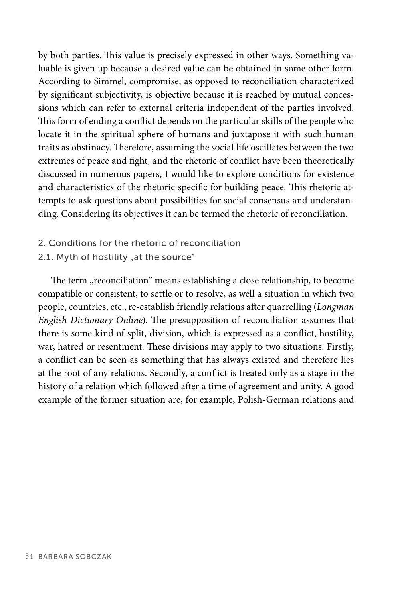by both parties. This value is precisely expressed in other ways. Something valuable is given up because a desired value can be obtained in some other form. According to Simmel, compromise, as opposed to reconciliation characterized by significant subjectivity, is objective because it is reached by mutual concessions which can refer to external criteria independent of the parties involved. This form of ending a conflict depends on the particular skills of the people who locate it in the spiritual sphere of humans and juxtapose it with such human traits as obstinacy. Therefore, assuming the social life oscillates between the two extremes of peace and fight, and the rhetoric of conflict have been theoretically discussed in numerous papers, I would like to explore conditions for existence and characteristics of the rhetoric specific for building peace. This rhetoric attempts to ask questions about possibilities for social consensus and understanding. Considering its objectives it can be termed the rhetoric of reconciliation.

- 2. Conditions for the rhetoric of reconciliation
- 2.1. Myth of hostility "at the source"

The term "reconciliation" means establishing a close relationship, to become compatible or consistent, to settle or to resolve, as well a situation in which two people, countries, etc., re-establish friendly relations after quarrelling (*Longman English Dictionary Online*). The presupposition of reconciliation assumes that there is some kind of split, division, which is expressed as a conflict, hostility, war, hatred or resentment. These divisions may apply to two situations. Firstly, a conflict can be seen as something that has always existed and therefore lies at the root of any relations. Secondly, a conflict is treated only as a stage in the history of a relation which followed after a time of agreement and unity. A good example of the former situation are, for example, Polish-German relations and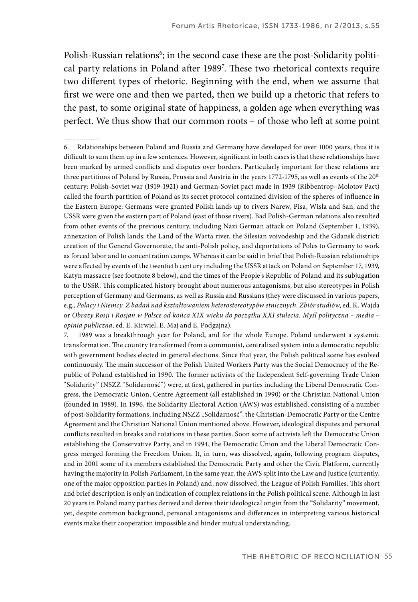Polish-Russian relations<sup>6</sup>; in the second case these are the post-Solidarity political party relations in Poland after 1989<sup>7</sup>. These two rhetorical contexts require two different types of rhetoric. Beginning with the end, when we assume that first we were one and then we parted, then we build up a rhetoric that refers to the past, to some original state of happiness, a golden age when everything was perfect. We thus show that our common roots – of those who left at some point

6. Relationships between Poland and Russia and Germany have developed for over 1000 years, thus it is difficult to sum them up in a few sentences. However, significant in both cases is that these relationships have been marked by armed conflicts and disputes over borders. Particularly important for these relations are three partitions of Poland by Russia, Prussia and Austria in the years 1772-1795, as well as events of the 20<sup>th</sup> century: Polish-Soviet war (1919-1921) and German-Soviet pact made in 1939 (Ribbentrop–Molotov Pact) called the fourth partition of Poland as its secret protocol contained division of the spheres of influence in the Eastern Europe: Germans were granted Polish lands up to rivers Narew, Pisa, Wisła and San, and the USSR were given the eastern part of Poland (east of those rivers). Bad Polish-German relations also resulted from other events of the previous century, including Nazi German attack on Poland (September 1, 1939), annexation of Polish lands: the Land of the Warta river, the Silesian voivodeship and the Gdansk district; creation of the General Governorate, the anti-Polish policy, and deportations of Poles to Germany to work as forced labor and to concentration camps. Whereas it can be said in brief that Polish-Russian relationships were affected by events of the twentieth century including the USSR attack on Poland on September 17, 1939, Katyn massacre (see footnote 8 below), and the times of the People's Republic of Poland and its subjugation to the USSR. This complicated history brought about numerous antagonisms, but also stereotypes in Polish perception of Germany and Germans, as well as Russia and Russians (they were discussed in various papers, e.g., *Polacy i Niemcy. Z badań nad kształtowaniem heterostereotypów etnicznych. Zbiór studiów*, ed. K. Wajda or *Obrazy Rosji i Rosjan w Polsce od końca XIX wieku do początku XXI stulecia. Myśl polityczna – media – opinia publiczna*, ed. E. Kirwiel, E. Maj and E. Podgajna).

7. 1989 was a breakthrough year for Poland, and for the whole Europe. Poland underwent a systemic transformation. The country transformed from a communist, centralized system into a democratic republic with government bodies elected in general elections. Since that year, the Polish political scene has evolved continuously. The main successor of the Polish United Workers Party was the Social Democracy of the Republic of Poland established in 1990. The former activists of the Independent Self-governing Trade Union "Solidarity" (NSZZ "Solidarność") were, at first, gathered in parties including the Liberal Democratic Congress, the Democratic Union, Centre Agreement (all established in 1990) or the Christian National Union (founded in 1989). In 1996, the Solidarity Electoral Action (AWS) was established, consisting of a number of post-Solidarity formations, including NSZZ "Solidarność", the Christian-Democratic Party or the Centre Agreement and the Christian National Union mentioned above. However, ideological disputes and personal conflicts resulted in breaks and rotations in these parties. Soon some of activists left the Democratic Union establishing the Conservative Party, and in 1994, the Democratic Union and the Liberal Democratic Congress merged forming the Freedom Union. It, in turn, was dissolved, again, following program disputes, and in 2001 some of its members established the Democratic Party and other the Civic Platform, currently having the majority in Polish Parliament. In the same year, the AWS split into the Law and Justice (currently, one of the major opposition parties in Poland) and, now dissolved, the League of Polish Families. This short and brief description is only an indication of complex relations in the Polish political scene. Although in last 20 years in Poland many parties derived and derive their ideological origin from the "Solidarity" movement, yet, despite common background, personal antagonisms and differences in interpreting various historical events make their cooperation impossible and hinder mutual understanding.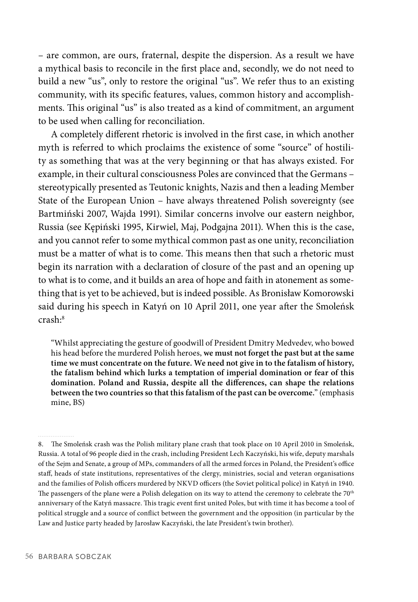– are common, are ours, fraternal, despite the dispersion. As a result we have a mythical basis to reconcile in the first place and, secondly, we do not need to build a new "us", only to restore the original "us". We refer thus to an existing community, with its specific features, values, common history and accomplishments. This original "us" is also treated as a kind of commitment, an argument to be used when calling for reconciliation.

A completely different rhetoric is involved in the first case, in which another myth is referred to which proclaims the existence of some "source" of hostility as something that was at the very beginning or that has always existed. For example, in their cultural consciousness Poles are convinced that the Germans – stereotypically presented as Teutonic knights, Nazis and then a leading Member State of the European Union – have always threatened Polish sovereignty (see Bartmiński 2007, Wajda 1991). Similar concerns involve our eastern neighbor, Russia (see Kępiński 1995, Kirwiel, Maj, Podgajna 2011). When this is the case, and you cannot refer to some mythical common past as one unity, reconciliation must be a matter of what is to come. This means then that such a rhetoric must begin its narration with a declaration of closure of the past and an opening up to what is to come, and it builds an area of hope and faith in atonement as something that is yet to be achieved, but is indeed possible. As Bronisław Komorowski said during his speech in Katyń on 10 April 2011, one year after the Smoleńsk crash:8

"Whilst appreciating the gesture of goodwill of President Dmitry Medvedev, who bowed his head before the murdered Polish heroes, **we must not forget the past but at the same time we must concentrate on the future. We need not give in to the fatalism of history, the fatalism behind which lurks a temptation of imperial domination or fear of this**  domination. Poland and Russia, despite all the differences, can shape the relations **between the two countries so that this fatalism of the past can be overcome.**" (emphasis mine, BS)

<sup>8.</sup> The Smoleńsk crash was the Polish military plane crash that took place on 10 April 2010 in Smoleńsk, Russia. A total of 96 people died in the crash, including President Lech Kaczyński, his wife, deputy marshals of the Sejm and Senate, a group of MPs, commanders of all the armed forces in Poland, the President's office staff , heads of state institutions, representatives of the clergy, ministries, social and veteran organisations and the families of Polish officers murdered by NKVD officers (the Soviet political police) in Katyń in 1940. The passengers of the plane were a Polish delegation on its way to attend the ceremony to celebrate the 70<sup>th</sup> anniversary of the Katyń massacre. This tragic event first united Poles, but with time it has become a tool of political struggle and a source of conflict between the government and the opposition (in particular by the Law and Justice party headed by Jarosław Kaczyński, the late President's twin brother).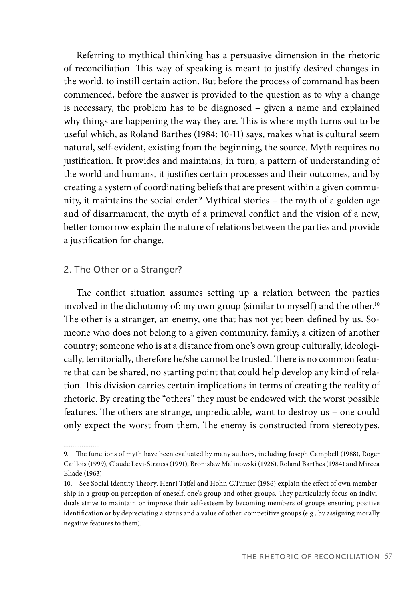Referring to mythical thinking has a persuasive dimension in the rhetoric of reconciliation. This way of speaking is meant to justify desired changes in the world, to instill certain action. But before the process of command has been commenced, before the answer is provided to the question as to why a change is necessary, the problem has to be diagnosed – given a name and explained why things are happening the way they are. This is where myth turns out to be useful which, as Roland Barthes (1984: 10-11) says, makes what is cultural seem natural, self-evident, existing from the beginning, the source. Myth requires no justification. It provides and maintains, in turn, a pattern of understanding of the world and humans, it justifies certain processes and their outcomes, and by creating a system of coordinating beliefs that are present within a given community, it maintains the social order.<sup>9</sup> Mythical stories – the myth of a golden age and of disarmament, the myth of a primeval conflict and the vision of a new, better tomorrow explain the nature of relations between the parties and provide a justification for change.

## 2. The Other or a Stranger?

The conflict situation assumes setting up a relation between the parties involved in the dichotomy of: my own group (similar to myself) and the other.<sup>10</sup> The other is a stranger, an enemy, one that has not yet been defined by us. Someone who does not belong to a given community, family; a citizen of another country; someone who is at a distance from one's own group culturally, ideologically, territorially, therefore he/she cannot be trusted. There is no common feature that can be shared, no starting point that could help develop any kind of relation. This division carries certain implications in terms of creating the reality of rhetoric. By creating the "others" they must be endowed with the worst possible features. The others are strange, unpredictable, want to destroy us – one could only expect the worst from them. The enemy is constructed from stereotypes.

<sup>9.</sup> The functions of myth have been evaluated by many authors, including Joseph Campbell (1988), Roger Caillois (1999), Claude Levi-Strauss (1991), Bronisław Malinowski (1926), Roland Barthes (1984) and Mircea Eliade (1963)

<sup>10.</sup> See Social Identity Theory. Henri Tajfel and Hohn C.Turner (1986) explain the effect of own membership in a group on perception of oneself, one's group and other groups. They particularly focus on individuals strive to maintain or improve their self-esteem by becoming members of groups ensuring positive identification or by depreciating a status and a value of other, competitive groups (e.g., by assigning morally negative features to them).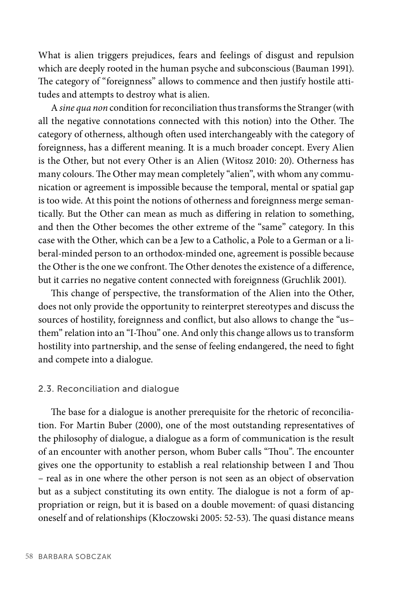What is alien triggers prejudices, fears and feelings of disgust and repulsion which are deeply rooted in the human psyche and subconscious (Bauman 1991). The category of "foreignness" allows to commence and then justify hostile attitudes and attempts to destroy what is alien.

A *sine qua non* condition for reconciliation thus transforms the Stranger (with all the negative connotations connected with this notion) into the Other. The category of otherness, although often used interchangeably with the category of foreignness, has a different meaning. It is a much broader concept. Every Alien is the Other, but not every Other is an Alien (Witosz 2010: 20). Otherness has many colours. The Other may mean completely "alien", with whom any communication or agreement is impossible because the temporal, mental or spatial gap is too wide. At this point the notions of otherness and foreignness merge semantically. But the Other can mean as much as differing in relation to something, and then the Other becomes the other extreme of the "same" category. In this case with the Other, which can be a Jew to a Catholic, a Pole to a German or a liberal-minded person to an orthodox-minded one, agreement is possible because the Other is the one we confront. The Other denotes the existence of a difference, but it carries no negative content connected with foreignness (Gruchlik 2001).

This change of perspective, the transformation of the Alien into the Other, does not only provide the opportunity to reinterpret stereotypes and discuss the sources of hostility, foreignness and conflict, but also allows to change the "usthem" relation into an "I-Thou" one. And only this change allows us to transform hostility into partnership, and the sense of feeling endangered, the need to fight and compete into a dialogue.

#### 2.3. Reconciliation and dialogue

The base for a dialogue is another prerequisite for the rhetoric of reconciliation. For Martin Buber (2000), one of the most outstanding representatives of the philosophy of dialogue, a dialogue as a form of communication is the result of an encounter with another person, whom Buber calls "Thou". The encounter gives one the opportunity to establish a real relationship between I and Thou – real as in one where the other person is not seen as an object of observation but as a subject constituting its own entity. The dialogue is not a form of appropriation or reign, but it is based on a double movement: of quasi distancing oneself and of relationships (Kłoczowski 2005: 52-53). The quasi distance means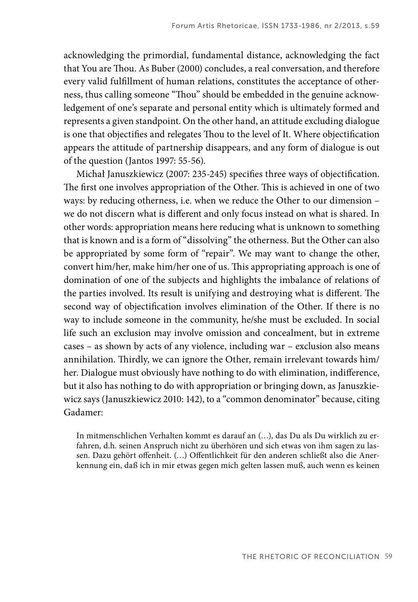acknowledging the primordial, fundamental distance, acknowledging the fact that You are Thou. As Buber (2000) concludes, a real conversation, and therefore every valid fulfillment of human relations, constitutes the acceptance of otherness, thus calling someone "Thou" should be embedded in the genuine acknowledgement of one's separate and personal entity which is ultimately formed and represents a given standpoint. On the other hand, an attitude excluding dialogue is one that objectifies and relegates Thou to the level of It. Where objectification appears the attitude of partnership disappears, and any form of dialogue is out of the question (Jantos 1997: 55-56).

Michał Januszkiewicz (2007: 235-245) specifies three ways of objectification. The first one involves appropriation of the Other. This is achieved in one of two ways: by reducing otherness, i.e. when we reduce the Other to our dimension – we do not discern what is different and only focus instead on what is shared. In other words: appropriation means here reducing what is unknown to something that is known and is a form of "dissolving" the otherness. But the Other can also be appropriated by some form of "repair". We may want to change the other, convert him/her, make him/her one of us. This appropriating approach is one of domination of one of the subjects and highlights the imbalance of relations of the parties involved. Its result is unifying and destroying what is different. The second way of objectification involves elimination of the Other. If there is no way to include someone in the community, he/she must be excluded. In social life such an exclusion may involve omission and concealment, but in extreme cases – as shown by acts of any violence, including war – exclusion also means annihilation. Thirdly, we can ignore the Other, remain irrelevant towards him/ her. Dialogue must obviously have nothing to do with elimination, indifference, but it also has nothing to do with appropriation or bringing down, as Januszkiewicz says (Januszkiewicz 2010: 142), to a "common denominator" because, citing Gadamer:

In mitmenschlichen Verhalten kommt es darauf an (…), das Du als Du wirklich zu erfahren, d.h. seinen Anspruch nicht zu überhören und sich etwas von ihm sagen zu lassen. Dazu gehört offenheit. (...) Offentlichkeit für den anderen schließt also die Anerkennung ein, daß ich in mir etwas gegen mich gelten lassen muß, auch wenn es keinen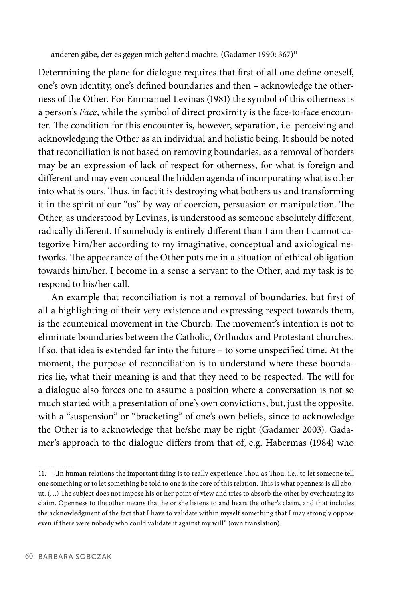anderen gäbe, der es gegen mich geltend machte. (Gadamer 1990: 367)<sup>11</sup>

Determining the plane for dialogue requires that first of all one define oneself, one's own identity, one's defi ned boundaries and then – acknowledge the otherness of the Other. For Emmanuel Levinas (1981) the symbol of this otherness is a person's *Face*, while the symbol of direct proximity is the face-to-face encounter. The condition for this encounter is, however, separation, i.e. perceiving and acknowledging the Other as an individual and holistic being. It should be noted that reconciliation is not based on removing boundaries, as a removal of borders may be an expression of lack of respect for otherness, for what is foreign and different and may even conceal the hidden agenda of incorporating what is other into what is ours. Thus, in fact it is destroying what bothers us and transforming it in the spirit of our "us" by way of coercion, persuasion or manipulation. The Other, as understood by Levinas, is understood as someone absolutely different, radically different. If somebody is entirely different than I am then I cannot categorize him/her according to my imaginative, conceptual and axiological networks. The appearance of the Other puts me in a situation of ethical obligation towards him/her. I become in a sense a servant to the Other, and my task is to respond to his/her call.

An example that reconciliation is not a removal of boundaries, but first of all a highlighting of their very existence and expressing respect towards them, is the ecumenical movement in the Church. The movement's intention is not to eliminate boundaries between the Catholic, Orthodox and Protestant churches. If so, that idea is extended far into the future – to some unspecified time. At the moment, the purpose of reconciliation is to understand where these boundaries lie, what their meaning is and that they need to be respected. The will for a dialogue also forces one to assume a position where a conversation is not so much started with a presentation of one's own convictions, but, just the opposite, with a "suspension" or "bracketing" of one's own beliefs, since to acknowledge the Other is to acknowledge that he/she may be right (Gadamer 2003). Gadamer's approach to the dialogue differs from that of, e.g. Habermas (1984) who

<sup>11. &</sup>quot;In human relations the important thing is to really experience Thou as Thou, i.e., to let someone tell one something or to let something be told to one is the core of this relation. This is what openness is all about. (...) The subject does not impose his or her point of view and tries to absorb the other by overhearing its claim. Openness to the other means that he or she listens to and hears the other's claim, and that includes the acknowledgment of the fact that I have to validate within myself something that I may strongly oppose even if there were nobody who could validate it against my will" (own translation).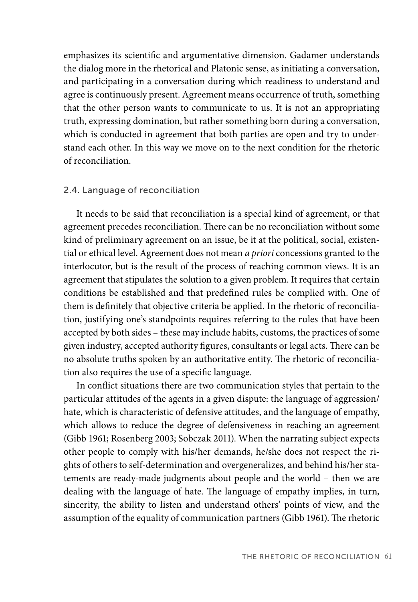emphasizes its scientific and argumentative dimension. Gadamer understands the dialog more in the rhetorical and Platonic sense, as initiating a conversation, and participating in a conversation during which readiness to understand and agree is continuously present. Agreement means occurrence of truth, something that the other person wants to communicate to us. It is not an appropriating truth, expressing domination, but rather something born during a conversation, which is conducted in agreement that both parties are open and try to understand each other. In this way we move on to the next condition for the rhetoric of reconciliation.

# 2.4. Language of reconciliation

It needs to be said that reconciliation is a special kind of agreement, or that agreement precedes reconciliation. There can be no reconciliation without some kind of preliminary agreement on an issue, be it at the political, social, existential or ethical level. Agreement does not mean *a priori* concessions granted to the interlocutor, but is the result of the process of reaching common views. It is an agreement that stipulates the solution to a given problem. It requires that certain conditions be established and that predefined rules be complied with. One of them is definitely that objective criteria be applied. In the rhetoric of reconciliation, justifying one's standpoints requires referring to the rules that have been accepted by both sides – these may include habits, customs, the practices of some given industry, accepted authority figures, consultants or legal acts. There can be no absolute truths spoken by an authoritative entity. The rhetoric of reconciliation also requires the use of a specific language.

In conflict situations there are two communication styles that pertain to the particular attitudes of the agents in a given dispute: the language of aggression/ hate, which is characteristic of defensive attitudes, and the language of empathy, which allows to reduce the degree of defensiveness in reaching an agreement (Gibb 1961; Rosenberg 2003; Sobczak 2011). When the narrating subject expects other people to comply with his/her demands, he/she does not respect the rights of others to self-determination and overgeneralizes, and behind his/her statements are ready-made judgments about people and the world – then we are dealing with the language of hate. The language of empathy implies, in turn, sincerity, the ability to listen and understand others' points of view, and the assumption of the equality of communication partners (Gibb 1961). The rhetoric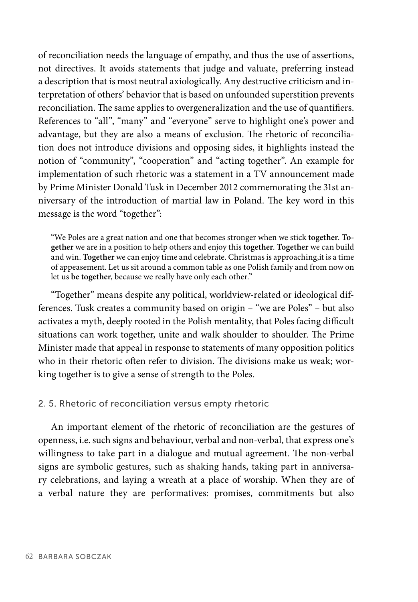of reconciliation needs the language of empathy, and thus the use of assertions, not directives. It avoids statements that judge and valuate, preferring instead a description that is most neutral axiologically. Any destructive criticism and interpretation of others' behavior that is based on unfounded superstition prevents reconciliation. The same applies to overgeneralization and the use of quantifiers. References to "all", "many" and "everyone" serve to highlight one's power and advantage, but they are also a means of exclusion. The rhetoric of reconciliation does not introduce divisions and opposing sides, it highlights instead the notion of "community", "cooperation" and "acting together". An example for implementation of such rhetoric was a statement in a TV announcement made by Prime Minister Donald Tusk in December 2012 commemorating the 31st anniversary of the introduction of martial law in Poland. The key word in this message is the word "together":

"We Poles are a great nation and one that becomes stronger when we stick **together**. **Together** we are in a position to help others and enjoy this **together**. **Together** we can build and win. **Together** we can enjoy time and celebrate. Christmas is approaching,it is a time of appeasement. Let us sit around a common table as one Polish family and from now on let us **be together**, because we really have only each other."

"Together" means despite any political, worldview-related or ideological differences. Tusk creates a community based on origin – "we are Poles" – but also activates a myth, deeply rooted in the Polish mentality, that Poles facing difficult situations can work together, unite and walk shoulder to shoulder. The Prime Minister made that appeal in response to statements of many opposition politics who in their rhetoric often refer to division. The divisions make us weak; working together is to give a sense of strength to the Poles.

#### 2. 5. Rhetoric of reconciliation versus empty rhetoric

An important element of the rhetoric of reconciliation are the gestures of openness, i.e. such signs and behaviour, verbal and non-verbal, that express one's willingness to take part in a dialogue and mutual agreement. The non-verbal signs are symbolic gestures, such as shaking hands, taking part in anniversary celebrations, and laying a wreath at a place of worship. When they are of a verbal nature they are performatives: promises, commitments but also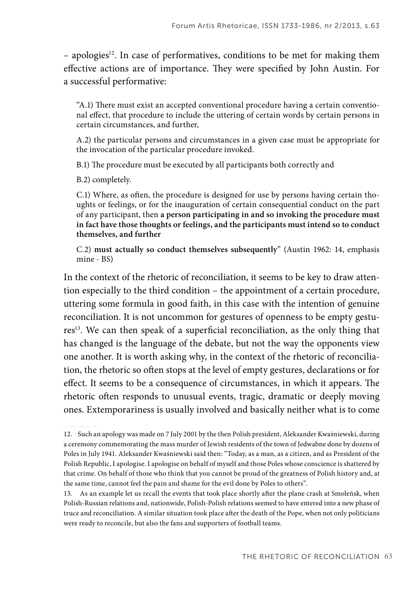$-$  apologies<sup>12</sup>. In case of performatives, conditions to be met for making them effective actions are of importance. They were specified by John Austin. For a successful performative:

"A.1) There must exist an accepted conventional procedure having a certain conventional effect, that procedure to include the uttering of certain words by certain persons in certain circumstances, and further,

A.2) the particular persons and circumstances in a given case must be appropriate for the invocation of the particular procedure invoked.

B.1) The procedure must be executed by all participants both correctly and

B.2) completely.

C.1) Where, as often, the procedure is designed for use by persons having certain thoughts or feelings, or for the inauguration of certain consequential conduct on the part of any participant, then **a person participating in and so invoking the procedure must in fact have those thoughts or feelings, and the participants must intend so to conduct themselves, and further**

C.2) **must actually so conduct themselves subsequently**" (Austin 1962: 14, emphasis mine - BS)

In the context of the rhetoric of reconciliation, it seems to be key to draw attention especially to the third condition – the appointment of a certain procedure, uttering some formula in good faith, in this case with the intention of genuine reconciliation. It is not uncommon for gestures of openness to be empty gestures<sup>13</sup>. We can then speak of a superficial reconciliation, as the only thing that has changed is the language of the debate, but not the way the opponents view one another. It is worth asking why, in the context of the rhetoric of reconciliation, the rhetoric so often stops at the level of empty gestures, declarations or for effect. It seems to be a consequence of circumstances, in which it appears. The rhetoric often responds to unusual events, tragic, dramatic or deeply moving ones. Extemporariness is usually involved and basically neither what is to come

<sup>12.</sup> Such an apology was made on 7 July 2001 by the then Polish president, Aleksander Kwaśniewski, during a ceremony commemorating the mass murder of Jewish residents of the town of Jedwabne done by dozens of Poles in July 1941. Aleksander Kwaśniewski said then: "Today, as a man, as a citizen, and as President of the Polish Republic, I apologise. I apologise on behalf of myself and those Poles whose conscience is shattered by that crime. On behalf of those who think that you cannot be proud of the greatness of Polish history and, at the same time, cannot feel the pain and shame for the evil done by Poles to others".

<sup>13.</sup> As an example let us recall the events that took place shortly after the plane crash at Smoleńsk, when Polish-Russian relations and, nationwide, Polish-Polish relations seemed to have entered into a new phase of truce and reconciliation. A similar situation took place after the death of the Pope, when not only politicians were ready to reconcile, but also the fans and supporters of football teams.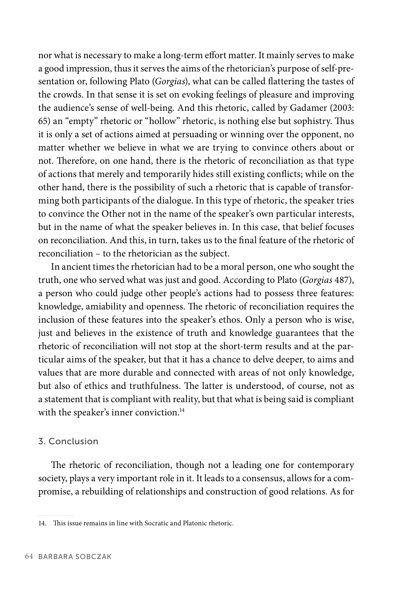nor what is necessary to make a long-term effort matter. It mainly serves to make a good impression, thus it serves the aims of the rhetorician's purpose of self-presentation or, following Plato (*Gorgias*), what can be called flattering the tastes of the crowds. In that sense it is set on evoking feelings of pleasure and improving the audience's sense of well-being. And this rhetoric, called by Gadamer (2003: 65) an "empty" rhetoric or "hollow" rhetoric, is nothing else but sophistry. Thus it is only a set of actions aimed at persuading or winning over the opponent, no matter whether we believe in what we are trying to convince others about or not. Therefore, on one hand, there is the rhetoric of reconciliation as that type of actions that merely and temporarily hides still existing conflicts; while on the other hand, there is the possibility of such a rhetoric that is capable of transforming both participants of the dialogue. In this type of rhetoric, the speaker tries to convince the Other not in the name of the speaker's own particular interests, but in the name of what the speaker believes in. In this case, that belief focuses on reconciliation. And this, in turn, takes us to the final feature of the rhetoric of reconciliation – to the rhetorician as the subject.

In ancient times the rhetorician had to be a moral person, one who sought the truth, one who served what was just and good. According to Plato (*Gorgias* 487), a person who could judge other people's actions had to possess three features: knowledge, amiability and openness. The rhetoric of reconciliation requires the inclusion of these features into the speaker's ethos. Only a person who is wise, just and believes in the existence of truth and knowledge guarantees that the rhetoric of reconciliation will not stop at the short-term results and at the particular aims of the speaker, but that it has a chance to delve deeper, to aims and values that are more durable and connected with areas of not only knowledge, but also of ethics and truthfulness. The latter is understood, of course, not as a statement that is compliant with reality, but that what is being said is compliant with the speaker's inner conviction.<sup>14</sup>

## 3. Conclusion

The rhetoric of reconciliation, though not a leading one for contemporary society, plays a very important role in it. It leads to a consensus, allows for a compromise, a rebuilding of relationships and construction of good relations. As for

<sup>14.</sup> This issue remains in line with Socratic and Platonic rhetoric.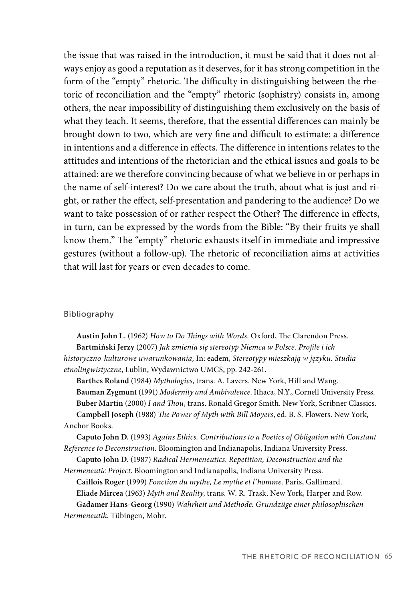the issue that was raised in the introduction, it must be said that it does not always enjoy as good a reputation as it deserves, for it has strong competition in the form of the "empty" rhetoric. The difficulty in distinguishing between the rhetoric of reconciliation and the "empty" rhetoric (sophistry) consists in, among others, the near impossibility of distinguishing them exclusively on the basis of what they teach. It seems, therefore, that the essential differences can mainly be brought down to two, which are very fine and difficult to estimate: a difference in intentions and a difference in effects. The difference in intentions relates to the attitudes and intentions of the rhetorician and the ethical issues and goals to be attained: are we therefore convincing because of what we believe in or perhaps in the name of self-interest? Do we care about the truth, about what is just and right, or rather the effect, self-presentation and pandering to the audience? Do we want to take possession of or rather respect the Other? The difference in effects, in turn, can be expressed by the words from the Bible: "By their fruits ye shall know them." The "empty" rhetoric exhausts itself in immediate and impressive gestures (without a follow-up). The rhetoric of reconciliation aims at activities that will last for years or even decades to come.

#### Bibliography

Austin John L. (1962) *How to Do Things with Words*. Oxford, The Clarendon Press. Bartmiński Jerzy (2007) *Jak zmienia się stereotyp Niemca w Polsce. Profile i ich historyczno-kulturowe uwarunkowania,* In: eadem*, Stereotypy mieszkają w języku. Studia etnolingwistyczne*, Lublin, Wydawnictwo UMCS, pp. 242-261.

**Barthes Roland** (1984) *Mythologies*, trans. A. Lavers. New York, Hill and Wang. **Bauman Zygmunt** (1991) *Modernity and Ambivalence*. Ithaca, N.Y., Cornell University Press. Buber Martin (2000) *I and Thou*, trans. Ronald Gregor Smith. New York, Scribner Classics. Campbell Joseph (1988) *The Power of Myth with Bill Moyers*, ed. B. S. Flowers. New York, Anchor Books.

**Caputo John D.** (1993) *Agains Ethics. Contributions to a Poetics of Obligation with Constant Reference to Deconstruction*. Bloomington and Indianapolis, Indiana University Press.

**Caputo John D.** (1987) *Radical Hermeneutics. Repetition, Deconstruction and the Hermeneutic Project*. Bloomington and Indianapolis, Indiana University Press.

**Caillois Roger** (1999) *Fonction du mythe, Le mythe et l'homme*. Paris, Gallimard. **Eliade Mircea** (1963) *Myth and Reality*, trans. W. R. Trask. New York, Harper and Row. **Gadamer Hans-Georg** (1990) *Wahrheit und Methode: Grundzüge einer philosophischen Hermeneutik*. Tübingen, Mohr.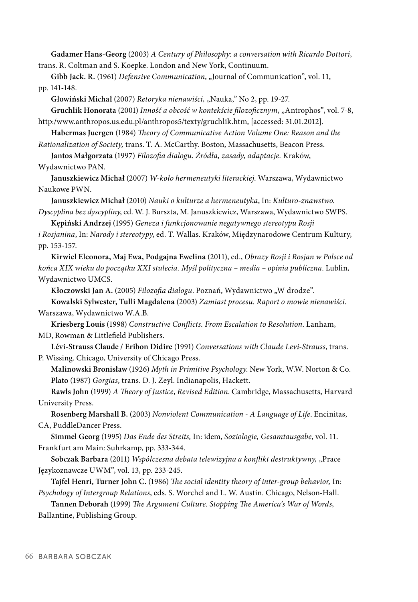**Gadamer Hans-Georg** (2003) *A Century of Philosophy: a conversation with Ricardo Dottori*, trans. R. Coltman and S. Koepke. London and New York, Continuum.

**Gibb Jack. R.** (1961) *Defensive Communication*, "Journal of Communication", vol. 11, pp. 141-148.

**Głowiński Michał** (2007) *Retoryka nienawiści,* "Nauka," No 2, pp. 19-27.

**Gruchlik Honorata** (2001) *Inność a obcość w kontekście fi lozofi cznym*, "Antrophos", vol. 7-8, http:/www.anthropos.us.edu.pl/anthropos5/texty/gruchlik.htm, [accessed: 31.01.2012].

**Habermas Juergen** (1984) *Theory of Communicative Action Volume One: Reason and the Rationalization of Society,* trans. T. A. McCarthy. Boston, Massachusetts, Beacon Press.

**Jantos Małgorzata** (1997) *Filozofi a dialogu. Źródła, zasady, adaptacje.* Kraków, Wydawnictwo PAN.

**Januszkiewicz Michał** (2007) *W-koło hermeneutyki literackiej*. Warszawa, Wydawnictwo Naukowe PWN.

**Januszkiewicz Michał** (2010) *Nauki o kulturze a hermeneutyka*, In: *Kulturo-znawstwo. Dyscyplina bez dyscypliny*, ed. W. J. Burszta, M. Januszkiewicz, Warszawa, Wydawnictwo SWPS.

**Kępiński Andrzej** (1995) *Geneza i funkcjonowanie negatywnego stereotypu Rosji*

*i Rosjanina*, In: *Narody i stereotypy*, ed. T. Wallas. Kraków, Międzynarodowe Centrum Kultury, pp. 153-157.

**Kirwiel Eleonora, Maj Ewa, Podgajna Ewelina** (2011), ed., *Obrazy Rosji i Rosjan w Polsce od końca XIX wieku do początku XXI stulecia. Myśl polityczna – media – opinia publiczna*. Lublin, Wydawnictwo UMCS.

Kłoczowski Jan A. (2005) *Filozofia dialogu*. Poznań, Wydawnictwo "W drodze".

**Kowalski Sylwester, Tulli Magdalena** (2003) *Zamiast procesu. Raport o mowie nienawiści*. Warszawa, Wydawnictwo W.A.B.

**Kriesberg Louis** (1998) *Constructive Confl icts. From Escalation to Resolution*. Lanham, MD, Rowman & Littlefield Publishers.

**Lévi-Strauss Claude / Eribon Didire** (1991) *Conversations with Claude Levi-Strauss*, trans. P. Wissing. Chicago, University of Chicago Press.

**Malinowski Bronisław** (1926) *Myth in Primitive Psychology*. New York, W.W. Norton & Co. **Plato** (1987) *Gorgias*, trans. D. J. Zeyl. Indianapolis, Hackett.

Rawls John (1999) *A Theory of Justice, Revised Edition*. Cambridge, Massachusetts, Harvard University Press.

**Rosenberg Marshall B.** (2003) *Nonviolent Communication - A Language of Life*. Encinitas, CA, PuddleDancer Press.

**Simmel Georg** (1995) *Das Ende des Streits,* In: idem, *Soziologie, Gesamtausgabe*, vol. 11. Frankfurt am Main: Suhrkamp, pp. 333-344.

Sobczak Barbara (2011) *Współczesna debata telewizyjna a konflikt destruktywny*, "Prace Językoznawcze UWM", vol. 13, pp. 233-245.

**Tajfel Henri, Turner John C.** (1986) *The social identity theory of inter-group behavior*, In: *Psychology of Intergroup Relations*, eds. S. Worchel and L. W. Austin. Chicago, Nelson-Hall.

**Tannen Deborah** (1999) *The Argument Culture. Stopping The America's War of Words*, Ballantine, Publishing Group.